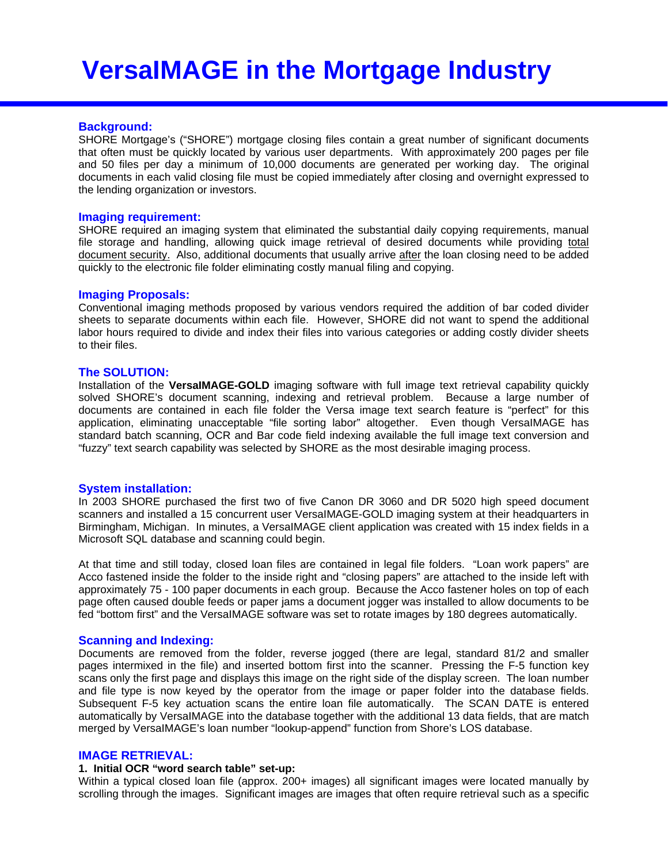## **Background:**

SHORE Mortgage's ("SHORE") mortgage closing files contain a great number of significant documents that often must be quickly located by various user departments. With approximately 200 pages per file and 50 files per day a minimum of 10,000 documents are generated per working day. The original documents in each valid closing file must be copied immediately after closing and overnight expressed to the lending organization or investors.

#### **Imaging requirement:**

SHORE required an imaging system that eliminated the substantial daily copying requirements, manual file storage and handling, allowing quick image retrieval of desired documents while providing total document security. Also, additional documents that usually arrive after the loan closing need to be added quickly to the electronic file folder eliminating costly manual filing and copying.

### **Imaging Proposals:**

Conventional imaging methods proposed by various vendors required the addition of bar coded divider sheets to separate documents within each file. However, SHORE did not want to spend the additional labor hours required to divide and index their files into various categories or adding costly divider sheets to their files.

#### **The SOLUTION:**

Installation of the **VersaIMAGE-GOLD** imaging software with full image text retrieval capability quickly solved SHORE's document scanning, indexing and retrieval problem. Because a large number of documents are contained in each file folder the Versa image text search feature is "perfect" for this application, eliminating unacceptable "file sorting labor" altogether. Even though VersaIMAGE has standard batch scanning, OCR and Bar code field indexing available the full image text conversion and "fuzzy" text search capability was selected by SHORE as the most desirable imaging process.

### **System installation:**

In 2003 SHORE purchased the first two of five Canon DR 3060 and DR 5020 high speed document scanners and installed a 15 concurrent user VersaIMAGE-GOLD imaging system at their headquarters in Birmingham, Michigan. In minutes, a VersaIMAGE client application was created with 15 index fields in a Microsoft SQL database and scanning could begin.

At that time and still today, closed loan files are contained in legal file folders. "Loan work papers" are Acco fastened inside the folder to the inside right and "closing papers" are attached to the inside left with approximately 75 - 100 paper documents in each group. Because the Acco fastener holes on top of each page often caused double feeds or paper jams a document jogger was installed to allow documents to be fed "bottom first" and the VersaIMAGE software was set to rotate images by 180 degrees automatically.

#### **Scanning and Indexing:**

Documents are removed from the folder, reverse jogged (there are legal, standard 81/2 and smaller pages intermixed in the file) and inserted bottom first into the scanner. Pressing the F-5 function key scans only the first page and displays this image on the right side of the display screen. The loan number and file type is now keyed by the operator from the image or paper folder into the database fields. Subsequent F-5 key actuation scans the entire loan file automatically. The SCAN DATE is entered automatically by VersaIMAGE into the database together with the additional 13 data fields, that are match merged by VersaIMAGE's loan number "lookup-append" function from Shore's LOS database.

## **IMAGE RETRIEVAL:**

#### **1. Initial OCR "word search table" set-up:**

Within a typical closed loan file (approx. 200+ images) all significant images were located manually by scrolling through the images. Significant images are images that often require retrieval such as a specific